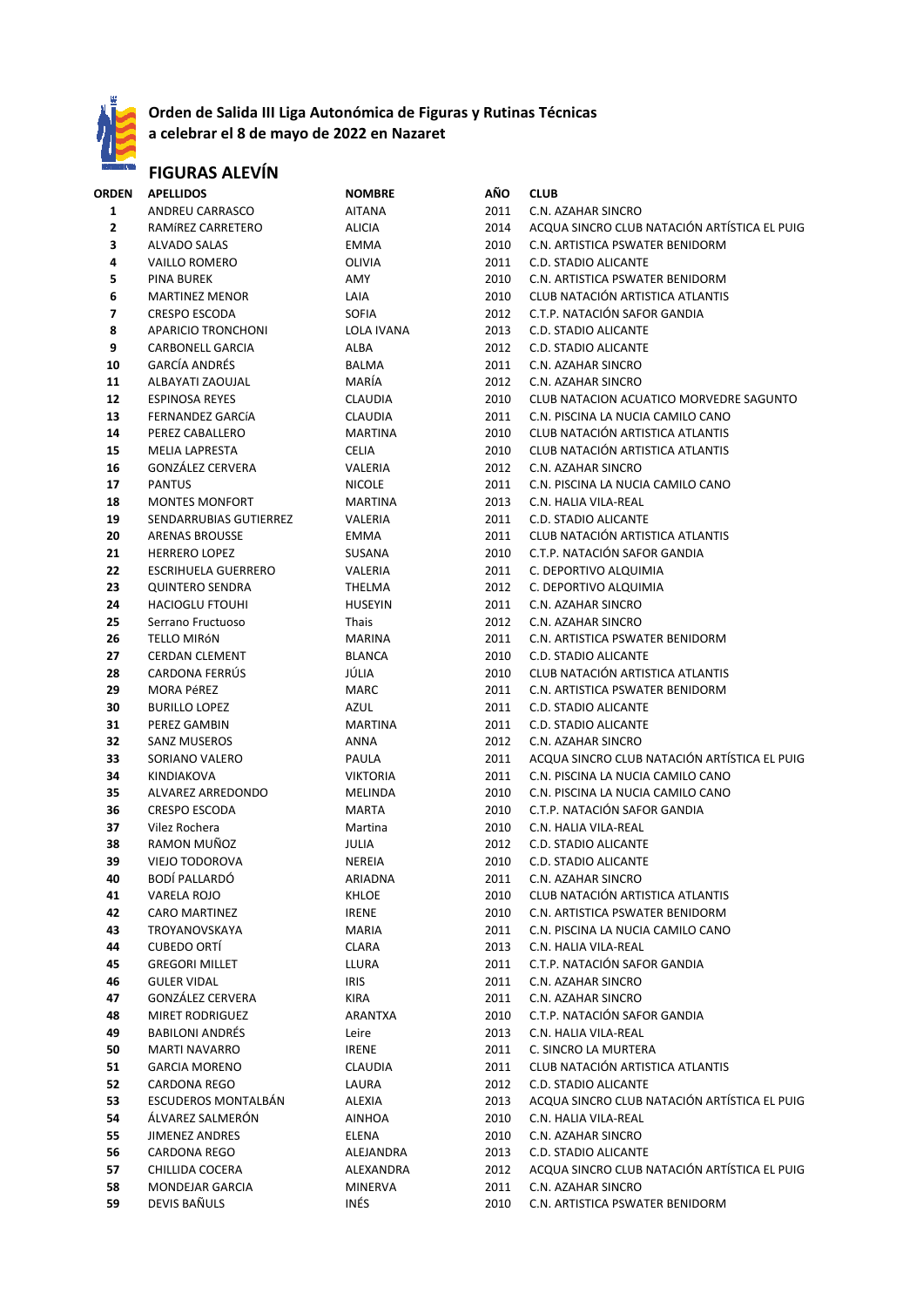

### **Orden de Salida III Liga Autonómica de Figuras y Rutinas Técnicas**

**a celebrar el 8 de mayo de 2022 en Nazaret**

# **FIGURAS ALEVÍN**

| ORDEN | <b>APELLIDOS</b>           | <b>NOMBRE</b>   | AÑO  | <b>CLUB</b>                                  |
|-------|----------------------------|-----------------|------|----------------------------------------------|
| 1     | ANDREU CARRASCO            | <b>AITANA</b>   | 2011 | C.N. AZAHAR SINCRO                           |
| 2     | RAMÍREZ CARRETERO          | <b>ALICIA</b>   | 2014 | ACQUA SINCRO CLUB NATACIÓN ARTÍSTICA EL PUIG |
| 3     | <b>ALVADO SALAS</b>        | EMMA            | 2010 | C.N. ARTISTICA PSWATER BENIDORM              |
| 4     | <b>VAILLO ROMERO</b>       | OLIVIA          | 2011 | C.D. STADIO ALICANTE                         |
| 5     | <b>PINA BUREK</b>          | AMY             | 2010 | C.N. ARTISTICA PSWATER BENIDORM              |
| 6     | <b>MARTINEZ MENOR</b>      | LAIA            | 2010 | CLUB NATACIÓN ARTISTICA ATLANTIS             |
| 7     | <b>CRESPO ESCODA</b>       | <b>SOFIA</b>    | 2012 | C.T.P. NATACIÓN SAFOR GANDIA                 |
| 8     | APARICIO TRONCHONI         | LOLA IVANA      | 2013 | C.D. STADIO ALICANTE                         |
| 9     | <b>CARBONELL GARCIA</b>    | ALBA            | 2012 | C.D. STADIO ALICANTE                         |
| 10    | <b>GARCÍA ANDRÉS</b>       | <b>BALMA</b>    | 2011 | C.N. AZAHAR SINCRO                           |
| 11    | ALBAYATI ZAOUJAL           | MARÍA           | 2012 | C.N. AZAHAR SINCRO                           |
| 12    | <b>ESPINOSA REYES</b>      | CLAUDIA         | 2010 | CLUB NATACION ACUATICO MORVEDRE SAGUNTO      |
| 13    | FERNANDEZ GARCÍA           | CLAUDIA         | 2011 | C.N. PISCINA LA NUCIA CAMILO CANO            |
|       |                            |                 |      |                                              |
| 14    | PEREZ CABALLERO            | <b>MARTINA</b>  | 2010 | CLUB NATACIÓN ARTISTICA ATLANTIS             |
| 15    | <b>MELIA LAPRESTA</b>      | <b>CELIA</b>    | 2010 | CLUB NATACIÓN ARTISTICA ATLANTIS             |
| 16    | GONZÁLEZ CERVERA           | VALERIA         | 2012 | C.N. AZAHAR SINCRO                           |
| 17    | <b>PANTUS</b>              | <b>NICOLE</b>   | 2011 | C.N. PISCINA LA NUCIA CAMILO CANO            |
| 18    | <b>MONTES MONFORT</b>      | <b>MARTINA</b>  | 2013 | C.N. HALIA VILA-REAL                         |
| 19    | SENDARRUBIAS GUTIERREZ     | VALERIA         | 2011 | <b>C.D. STADIO ALICANTE</b>                  |
| 20    | <b>ARENAS BROUSSE</b>      | EMMA            | 2011 | CLUB NATACIÓN ARTISTICA ATLANTIS             |
| 21    | <b>HERRERO LOPEZ</b>       | SUSANA          | 2010 | C.T.P. NATACIÓN SAFOR GANDIA                 |
| 22    | <b>ESCRIHUELA GUERRERO</b> | VALERIA         | 2011 | C. DEPORTIVO ALQUIMIA                        |
| 23    | <b>QUINTERO SENDRA</b>     | THELMA          | 2012 | C. DEPORTIVO ALQUIMIA                        |
| 24    | <b>HACIOGLU FTOUHI</b>     | <b>HUSEYIN</b>  | 2011 | C.N. AZAHAR SINCRO                           |
| 25    | Serrano Fructuoso          | Thais           | 2012 | C.N. AZAHAR SINCRO                           |
| 26    | TELLO MIRÓN                | <b>MARINA</b>   | 2011 | C.N. ARTISTICA PSWATER BENIDORM              |
| 27    | <b>CERDAN CLEMENT</b>      | <b>BLANCA</b>   | 2010 | C.D. STADIO ALICANTE                         |
| 28    | CARDONA FERRUS             | JÚLIA           | 2010 | CLUB NATACIÓN ARTISTICA ATLANTIS             |
| 29    | MORA PéREZ                 | <b>MARC</b>     | 2011 | C.N. ARTISTICA PSWATER BENIDORM              |
| 30    | <b>BURILLO LOPEZ</b>       | AZUL            | 2011 | C.D. STADIO ALICANTE                         |
| 31    | PEREZ GAMBIN               | <b>MARTINA</b>  | 2011 | C.D. STADIO ALICANTE                         |
| 32    | <b>SANZ MUSEROS</b>        | ANNA            | 2012 | C.N. AZAHAR SINCRO                           |
| 33    | SORIANO VALERO             | PAULA           | 2011 | ACQUA SINCRO CLUB NATACIÓN ARTÍSTICA EL PUIG |
| 34    | KINDIAKOVA                 | <b>VIKTORIA</b> | 2011 | C.N. PISCINA LA NUCIA CAMILO CANO            |
| 35    | ALVAREZ ARREDONDO          | MELINDA         | 2010 | C.N. PISCINA LA NUCIA CAMILO CANO            |
| 36    | <b>CRESPO ESCODA</b>       | <b>MARTA</b>    | 2010 | C.T.P. NATACIÓN SAFOR GANDIA                 |
| 37    | Vilez Rochera              | Martina         | 2010 | C.N. HALIA VILA-REAL                         |
| 38    | RAMON MUÑOZ                | JULIA           | 2012 | C.D. STADIO ALICANTE                         |
| 39    | <b>VIEJO TODOROVA</b>      | NEREIA          | 2010 | <b>C.D. STADIO ALICANTE</b>                  |
| 40    | BODÍ PALLARDÓ              | ARIADNA         | 2011 | C.N. AZAHAR SINCRO                           |
| 41    | VARELA ROJO                | KHLOE           | 2010 | CLUB NATACIÓN ARTISTICA ATLANTIS             |
| 42    | CARO MARTINEZ              | <b>IRENE</b>    | 2010 | C.N. ARTISTICA PSWATER BENIDORM              |
| 43    | TROYANOVSKAYA              | MARIA           | 2011 | C.N. PISCINA LA NUCIA CAMILO CANO            |
| 44    | <b>CUBEDO ORTI</b>         | CLARA           | 2013 | C.N. HALIA VILA-REAL                         |
| 45    | <b>GREGORI MILLET</b>      | LLURA           | 2011 | C.T.P. NATACIÓN SAFOR GANDIA                 |
| 46    | <b>GULER VIDAL</b>         | <b>IRIS</b>     | 2011 | C.N. AZAHAR SINCRO                           |
| 47    | GONZÁLEZ CERVERA           | KIRA            | 2011 | C.N. AZAHAR SINCRO                           |
| 48    | MIRET RODRIGUEZ            | ARANTXA         | 2010 | C.T.P. NATACIÓN SAFOR GANDIA                 |
| 49    | <b>BABILONI ANDRÉS</b>     | Leire           | 2013 | C.N. HALIA VILA-REAL                         |
| 50    | <b>MARTI NAVARRO</b>       | <b>IRENE</b>    | 2011 | C. SINCRO LA MURTERA                         |
| 51    | <b>GARCIA MORENO</b>       | <b>CLAUDIA</b>  | 2011 | CLUB NATACIÓN ARTISTICA ATLANTIS             |
| 52    | CARDONA REGO               | LAURA           | 2012 | C.D. STADIO ALICANTE                         |
| 53    | <b>ESCUDEROS MONTALBAN</b> | ALEXIA          | 2013 | ACQUA SINCRO CLUB NATACIÓN ARTÍSTICA EL PUIG |
|       | ÁLVAREZ SALMERÓN           |                 |      |                                              |
| 54    |                            | AINHOA          | 2010 | C.N. HALIA VILA-REAL                         |
| 55    | <b>JIMENEZ ANDRES</b>      | ELENA           | 2010 | C.N. AZAHAR SINCRO                           |
| 56    | CARDONA REGO               | ALEJANDRA       | 2013 | C.D. STADIO ALICANTE                         |
| 57    | CHILLIDA COCERA            | ALEXANDRA       | 2012 | ACQUA SINCRO CLUB NATACIÓN ARTÍSTICA EL PUIG |
| 58    | MONDEJAR GARCIA            | <b>MINERVA</b>  | 2011 | C.N. AZAHAR SINCRO                           |
| 59    | DEVIS BAÑULS               | INÉS            | 2010 | C.N. ARTISTICA PSWATER BENIDORM              |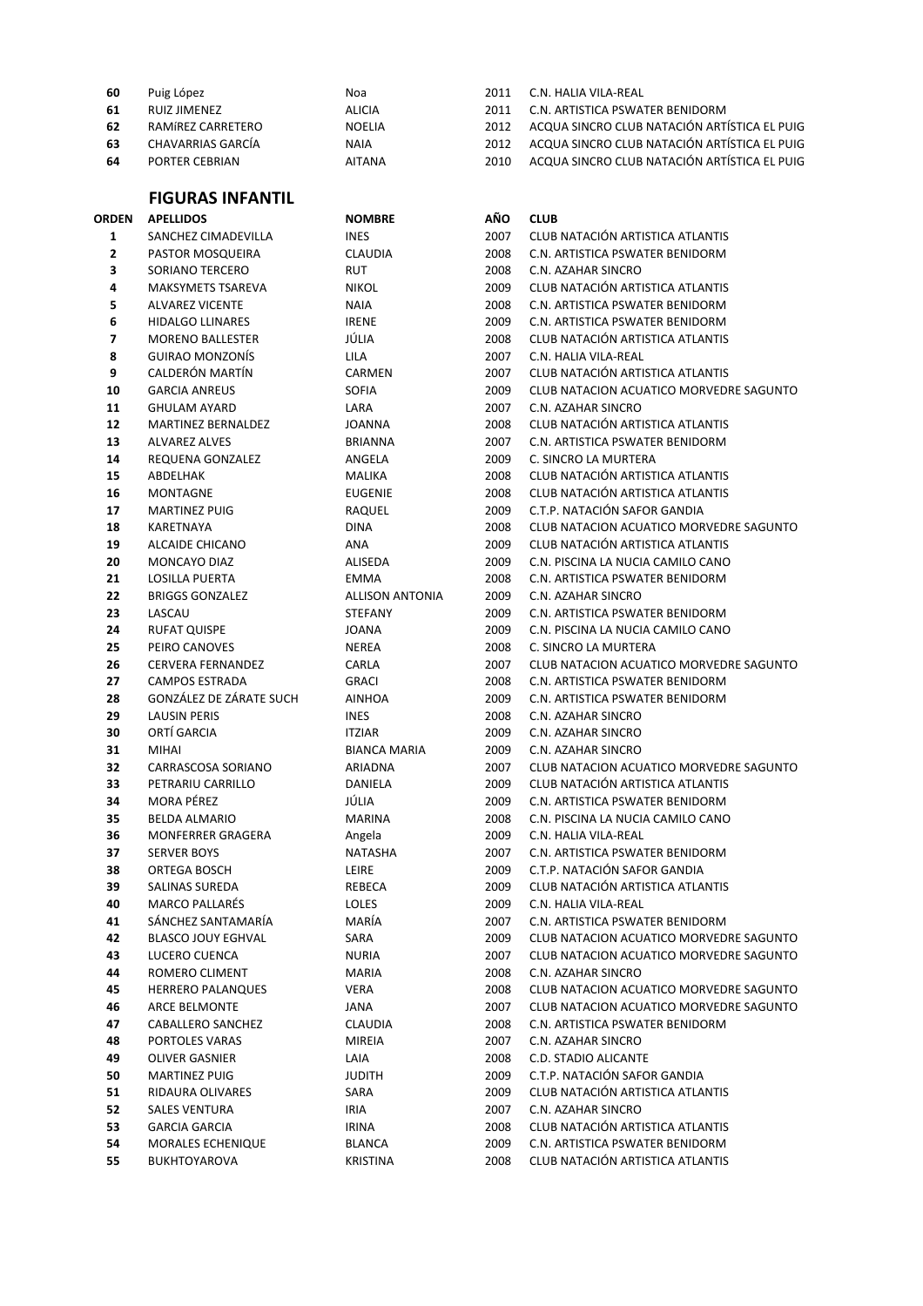| Puig López        | Noa         | 2011 | C.N. HALIA VILA-REAL                         |
|-------------------|-------------|------|----------------------------------------------|
| RUIZ JIMENEZ      | ALICIA      | 2011 | C.N. ARTISTICA PSWATER BENIDORM              |
| RAMÍREZ CARRETERO | NOELIA      | 2012 | ACQUA SINCRO CLUB NATACIÓN ARTÍSTICA EL PUIG |
| CHAVARRIAS GARCÍA | <b>NAIA</b> | 2012 | ACQUA SINCRO CLUB NATACIÓN ARTÍSTICA EL PUIG |
| PORTER CEBRIAN    | AITANA      | 2010 | ACQUA SINCRO CLUB NATACIÓN ARTÍSTICA EL PUIG |
|                   |             |      |                                              |

## **FIGURAS INFANTIL**

|              | <b>FIGURAS INFANTIL</b>                     |                        |              |                                                                            |
|--------------|---------------------------------------------|------------------------|--------------|----------------------------------------------------------------------------|
| <b>ORDEN</b> | <b>APELLIDOS</b>                            | <b>NOMBRE</b>          | AÑO          | <b>CLUB</b>                                                                |
| $\mathbf{1}$ | SANCHEZ CIMADEVILLA                         | <b>INES</b>            | 2007         | CLUB NATACIÓN ARTISTICA ATLANTIS                                           |
| 2            | PASTOR MOSQUEIRA                            | <b>CLAUDIA</b>         | 2008         | C.N. ARTISTICA PSWATER BENIDORM                                            |
| 3            | SORIANO TERCERO                             | <b>RUT</b>             | 2008         | C.N. AZAHAR SINCRO                                                         |
| 4            | <b>MAKSYMETS TSAREVA</b>                    | <b>NIKOL</b>           | 2009         | CLUB NATACIÓN ARTISTICA ATLANTIS                                           |
| 5            | <b>ALVAREZ VICENTE</b>                      | <b>NAIA</b>            | 2008         | C.N. ARTISTICA PSWATER BENIDORM                                            |
| 6            | <b>HIDALGO LLINARES</b>                     | <b>IRENE</b>           | 2009         | C.N. ARTISTICA PSWATER BENIDORM                                            |
| 7            | <b>MORENO BALLESTER</b>                     | JÚLIA                  | 2008         | CLUB NATACIÓN ARTISTICA ATLANTIS                                           |
| 8            | <b>GUIRAO MONZONÍS</b>                      | <b>LILA</b>            | 2007         | C.N. HALIA VILA-REAL                                                       |
| 9            | CALDERÓN MARTÍN                             | CARMEN                 | 2007         | CLUB NATACIÓN ARTISTICA ATLANTIS                                           |
| 10           | <b>GARCIA ANREUS</b>                        | <b>SOFIA</b>           | 2009         | CLUB NATACION ACUATICO MORVEDRE SAGUNTO                                    |
| 11           | <b>GHULAM AYARD</b>                         | LARA                   | 2007         | C.N. AZAHAR SINCRO                                                         |
| 12           | MARTINEZ BERNALDEZ                          | <b>JOANNA</b>          | 2008         | CLUB NATACIÓN ARTISTICA ATLANTIS                                           |
| 13           | <b>ALVAREZ ALVES</b>                        | <b>BRIANNA</b>         | 2007         | C.N. ARTISTICA PSWATER BENIDORM                                            |
| 14           | REQUENA GONZALEZ                            | ANGELA                 | 2009         | C. SINCRO LA MURTERA                                                       |
| 15           | ABDELHAK                                    | <b>MALIKA</b>          | 2008         | CLUB NATACIÓN ARTISTICA ATLANTIS                                           |
| 16           | <b>MONTAGNE</b>                             | <b>EUGENIE</b>         | 2008         | CLUB NATACIÓN ARTISTICA ATLANTIS                                           |
| 17           | <b>MARTINEZ PUIG</b>                        | RAQUEL                 | 2009         | C.T.P. NATACIÓN SAFOR GANDIA                                               |
| 18           | KARETNAYA                                   | <b>DINA</b>            | 2008         | CLUB NATACION ACUATICO MORVEDRE SAGUNTO                                    |
| 19           | <b>ALCAIDE CHICANO</b>                      | <b>ANA</b>             | 2009         | CLUB NATACIÓN ARTISTICA ATLANTIS                                           |
| 20           | MONCAYO DIAZ                                | <b>ALISEDA</b>         | 2009         | C.N. PISCINA LA NUCIA CAMILO CANO                                          |
| 21           | <b>LOSILLA PUERTA</b>                       | <b>EMMA</b>            | 2008         | C.N. ARTISTICA PSWATER BENIDORM                                            |
| 22           | <b>BRIGGS GONZALEZ</b>                      | <b>ALLISON ANTONIA</b> | 2009         | C.N. AZAHAR SINCRO                                                         |
| 23           | LASCAU                                      | <b>STEFANY</b>         | 2009         | C.N. ARTISTICA PSWATER BENIDORM                                            |
| 24           | <b>RUFAT QUISPE</b>                         | <b>JOANA</b>           | 2009         | C.N. PISCINA LA NUCIA CAMILO CANO                                          |
| 25           | PEIRO CANOVES                               | <b>NEREA</b>           | 2008         | C. SINCRO LA MURTERA                                                       |
| 26           | CERVERA FERNANDEZ                           | CARLA                  | 2007         | CLUB NATACION ACUATICO MORVEDRE SAGUNTO                                    |
| 27           | <b>CAMPOS ESTRADA</b>                       | <b>GRACI</b>           | 2008         | C.N. ARTISTICA PSWATER BENIDORM                                            |
| 28           | GONZÁLEZ DE ZÁRATE SUCH                     | <b>AINHOA</b>          | 2009         | C.N. ARTISTICA PSWATER BENIDORM                                            |
| 29           | <b>LAUSIN PERIS</b>                         | <b>INES</b>            | 2008         | C.N. AZAHAR SINCRO                                                         |
| 30           | ORTÍ GARCIA                                 | <b>ITZIAR</b>          | 2009         | C.N. AZAHAR SINCRO                                                         |
| 31           | <b>MIHAI</b>                                | <b>BIANCA MARIA</b>    | 2009         | C.N. AZAHAR SINCRO                                                         |
| 32           | CARRASCOSA SORIANO                          | ARIADNA                | 2007         | CLUB NATACION ACUATICO MORVEDRE SAGUNTO                                    |
| 33           | PETRARIU CARRILLO                           | DANIELA                | 2009         | CLUB NATACIÓN ARTISTICA ATLANTIS                                           |
| 34           | <b>MORA PÉREZ</b>                           | JÚLIA                  | 2009         | C.N. ARTISTICA PSWATER BENIDORM                                            |
| 35           | <b>BELDA ALMARIO</b>                        | <b>MARINA</b>          | 2008         | C.N. PISCINA LA NUCIA CAMILO CANO                                          |
| 36           | <b>MONFERRER GRAGERA</b>                    | Angela                 | 2009         | C.N. HALIA VILA-REAL                                                       |
| 37           | <b>SERVER BOYS</b>                          | <b>NATASHA</b>         | 2007         | C.N. ARTISTICA PSWATER BENIDORM                                            |
| 38           | ORTEGA BOSCH                                | LEIRE                  | 2009         | C.T.P. NATACIÓN SAFOR GANDIA                                               |
| 39           | SALINAS SUREDA                              | REBECA                 | 2009         | CLUB NATACIÓN ARTISTICA ATLANTIS                                           |
| 40           | <b>MARCO PALLARÉS</b><br>SÁNCHEZ SANTAMARÍA | <b>LOLES</b>           | 2009         | C.N. HALIA VILA-REAL                                                       |
| 41<br>42     | <b>BLASCO JOUY EGHVAL</b>                   | MARÍA<br>SARA          | 2007         | C.N. ARTISTICA PSWATER BENIDORM<br>CLUB NATACION ACUATICO MORVEDRE SAGUNTO |
|              |                                             | <b>NURIA</b>           | 2009         |                                                                            |
| 43<br>44     | LUCERO CUENCA<br>ROMERO CLIMENT             | <b>MARIA</b>           | 2007<br>2008 | CLUB NATACION ACUATICO MORVEDRE SAGUNTO<br>C.N. AZAHAR SINCRO              |
| 45           | <b>HERRERO PALANQUES</b>                    | VERA                   | 2008         | CLUB NATACION ACUATICO MORVEDRE SAGUNTO                                    |
| 46           | ARCE BELMONTE                               | JANA                   | 2007         | CLUB NATACION ACUATICO MORVEDRE SAGUNTO                                    |
| 47           | CABALLERO SANCHEZ                           | <b>CLAUDIA</b>         | 2008         | C.N. ARTISTICA PSWATER BENIDORM                                            |
| 48           | PORTOLES VARAS                              | MIREIA                 | 2007         | C.N. AZAHAR SINCRO                                                         |
| 49           | OLIVER GASNIER                              | LAIA                   | 2008         | C.D. STADIO ALICANTE                                                       |
| 50           | <b>MARTINEZ PUIG</b>                        | <b>JUDITH</b>          | 2009         | C.T.P. NATACIÓN SAFOR GANDIA                                               |
| 51           | RIDAURA OLIVARES                            | SARA                   | 2009         | CLUB NATACIÓN ARTISTICA ATLANTIS                                           |
| 52           | <b>SALES VENTURA</b>                        | <b>IRIA</b>            | 2007         | C.N. AZAHAR SINCRO                                                         |
| 53           | <b>GARCIA GARCIA</b>                        | <b>IRINA</b>           | 2008         | CLUB NATACIÓN ARTISTICA ATLANTIS                                           |
| 54           | <b>MORALES ECHENIQUE</b>                    | <b>BLANCA</b>          | 2009         | C.N. ARTISTICA PSWATER BENIDORM                                            |
| 55           | <b>BUKHTOYAROVA</b>                         | <b>KRISTINA</b>        | 2008         | CLUB NATACIÓN ARTISTICA ATLANTIS                                           |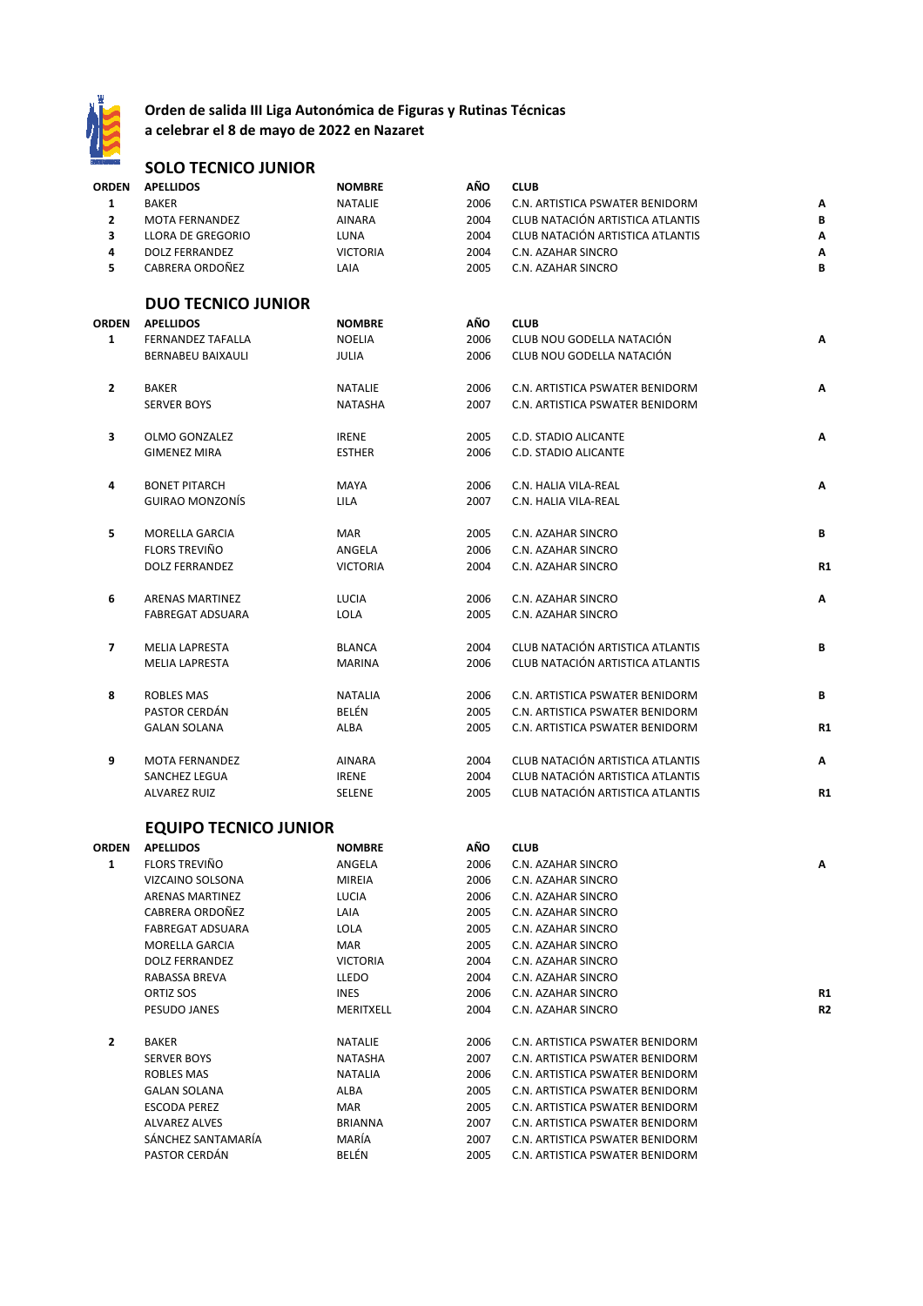

#### **Orden de salida III Liga Autonómica de Figuras y Rutinas Técnicas**

**a celebrar el 8 de mayo de 2022 en Nazaret**

## **SOLO TECNICO JUNIOR**

| <b>ORDEN</b>   | <b>APELLIDOS</b>          | <b>NOMBRE</b>   | AÑO  | <b>CLUB</b>                      |    |
|----------------|---------------------------|-----------------|------|----------------------------------|----|
| $\mathbf{1}$   | <b>BAKER</b>              | <b>NATALIE</b>  | 2006 | C.N. ARTISTICA PSWATER BENIDORM  | Λ  |
| $\overline{2}$ | <b>MOTA FERNANDEZ</b>     | <b>AINARA</b>   | 2004 | CLUB NATACIÓN ARTISTICA ATLANTIS | В  |
| 3              | <b>LLORA DE GREGORIO</b>  | LUNA            | 2004 | CLUB NATACIÓN ARTISTICA ATLANTIS | Α  |
| 4              | <b>DOLZ FERRANDEZ</b>     | <b>VICTORIA</b> | 2004 | C.N. AZAHAR SINCRO               | Α  |
| 5              | CABRERA ORDOÑEZ           | LAIA            | 2005 | C.N. AZAHAR SINCRO               | B  |
|                | <b>DUO TECNICO JUNIOR</b> |                 |      |                                  |    |
| <b>ORDEN</b>   | <b>APELLIDOS</b>          | <b>NOMBRE</b>   | AÑO  | <b>CLUB</b>                      |    |
| $\mathbf{1}$   | <b>FERNANDEZ TAFALLA</b>  | <b>NOELIA</b>   | 2006 | CLUB NOU GODELLA NATACIÓN        | A  |
|                | <b>BERNABEU BAIXAULI</b>  | JULIA           | 2006 | CLUB NOU GODELLA NATACIÓN        |    |
| $\overline{2}$ | <b>BAKER</b>              | <b>NATALIE</b>  | 2006 | C.N. ARTISTICA PSWATER BENIDORM  | A  |
|                | <b>SERVER BOYS</b>        | <b>NATASHA</b>  | 2007 | C.N. ARTISTICA PSWATER BENIDORM  |    |
| 3              | <b>OLMO GONZALEZ</b>      | <b>IRENE</b>    | 2005 | <b>C.D. STADIO ALICANTE</b>      | Α  |
|                | <b>GIMENEZ MIRA</b>       | <b>ESTHER</b>   | 2006 | <b>C.D. STADIO ALICANTE</b>      |    |
| 4              | <b>BONET PITARCH</b>      | <b>MAYA</b>     | 2006 | C.N. HALIA VILA-REAL             | Α  |
|                | <b>GUIRAO MONZONÍS</b>    | <b>LILA</b>     | 2007 | C.N. HALIA VILA-REAL             |    |
| 5              | MORELLA GARCIA            | <b>MAR</b>      | 2005 | C.N. AZAHAR SINCRO               | В  |
|                | <b>FLORS TREVIÑO</b>      | ANGELA          | 2006 | C.N. AZAHAR SINCRO               |    |
|                | <b>DOLZ FERRANDEZ</b>     | <b>VICTORIA</b> | 2004 | C.N. AZAHAR SINCRO               | R1 |
| 6              | <b>ARENAS MARTINEZ</b>    | LUCIA           | 2006 | C.N. AZAHAR SINCRO               | Α  |
|                | <b>FABREGAT ADSUARA</b>   | LOLA            | 2005 | C.N. AZAHAR SINCRO               |    |
| $\overline{7}$ | <b>MELIA LAPRESTA</b>     | <b>BLANCA</b>   | 2004 | CLUB NATACIÓN ARTISTICA ATLANTIS | B  |
|                | <b>MELIA LAPRESTA</b>     | <b>MARINA</b>   | 2006 | CLUB NATACIÓN ARTISTICA ATLANTIS |    |
| 8              | <b>ROBLES MAS</b>         | <b>NATALIA</b>  | 2006 | C.N. ARTISTICA PSWATER BENIDORM  | B  |
|                | PASTOR CERDÁN             | BELÉN           | 2005 | C.N. ARTISTICA PSWATER BENIDORM  |    |
|                | <b>GALAN SOLANA</b>       | ALBA            | 2005 | C.N. ARTISTICA PSWATER BENIDORM  | R1 |
| 9              | <b>MOTA FERNANDEZ</b>     | <b>AINARA</b>   | 2004 | CLUB NATACIÓN ARTISTICA ATLANTIS | Α  |
|                | <b>SANCHEZ LEGUA</b>      | <b>IRENE</b>    | 2004 | CLUB NATACIÓN ARTISTICA ATLANTIS |    |
|                | <b>ALVAREZ RUIZ</b>       | SELENE          | 2005 | CLUB NATACIÓN ARTISTICA ATLANTIS | R1 |

#### **EQUIPO TECNICO JUNIOR**

| <b>ORDEN</b> | <b>APELLIDOS</b>        | <b>NOMBRE</b>   | AÑO  | <b>CLUB</b>                     |                |
|--------------|-------------------------|-----------------|------|---------------------------------|----------------|
| 1            | <b>FLORS TREVIÑO</b>    | ANGELA          | 2006 | C.N. AZAHAR SINCRO              | A              |
|              | VIZCAINO SOLSONA        | <b>MIREIA</b>   | 2006 | C.N. AZAHAR SINCRO              |                |
|              | <b>ARENAS MARTINEZ</b>  | <b>LUCIA</b>    | 2006 | C.N. AZAHAR SINCRO              |                |
|              | CABRERA ORDOÑEZ         | LAIA            | 2005 | C.N. AZAHAR SINCRO              |                |
|              | <b>FABREGAT ADSUARA</b> | <b>LOLA</b>     | 2005 | C.N. AZAHAR SINCRO              |                |
|              | <b>MORELLA GARCIA</b>   | <b>MAR</b>      | 2005 | C.N. AZAHAR SINCRO              |                |
|              | <b>DOLZ FERRANDEZ</b>   | <b>VICTORIA</b> | 2004 | C.N. AZAHAR SINCRO              |                |
|              | RABASSA BREVA           | <b>LLEDO</b>    | 2004 | C.N. AZAHAR SINCRO              |                |
|              | ORTIZ SOS               | <b>INES</b>     | 2006 | C.N. AZAHAR SINCRO              | R <sub>1</sub> |
|              | PESUDO JANES            | MERITXELL       | 2004 | C.N. AZAHAR SINCRO              | R <sub>2</sub> |
| $\mathbf{2}$ | <b>BAKER</b>            | <b>NATALIE</b>  | 2006 | C.N. ARTISTICA PSWATER BENIDORM |                |
|              | <b>SERVER BOYS</b>      | <b>NATASHA</b>  | 2007 | C.N. ARTISTICA PSWATER BENIDORM |                |
|              | <b>ROBLES MAS</b>       | <b>NATALIA</b>  | 2006 | C.N. ARTISTICA PSWATER BENIDORM |                |
|              | <b>GALAN SOLANA</b>     | ALBA            | 2005 | C.N. ARTISTICA PSWATER BENIDORM |                |
|              | <b>ESCODA PEREZ</b>     | <b>MAR</b>      | 2005 | C.N. ARTISTICA PSWATER BENIDORM |                |
|              | <b>ALVAREZ ALVES</b>    | <b>BRIANNA</b>  | 2007 | C.N. ARTISTICA PSWATER BENIDORM |                |
|              | SÁNCHEZ SANTAMARÍA      | MARÍA           | 2007 | C.N. ARTISTICA PSWATER BENIDORM |                |
|              | PASTOR CERDÁN           | BELÉN           | 2005 | C.N. ARTISTICA PSWATER BENIDORM |                |
|              |                         |                 |      |                                 |                |